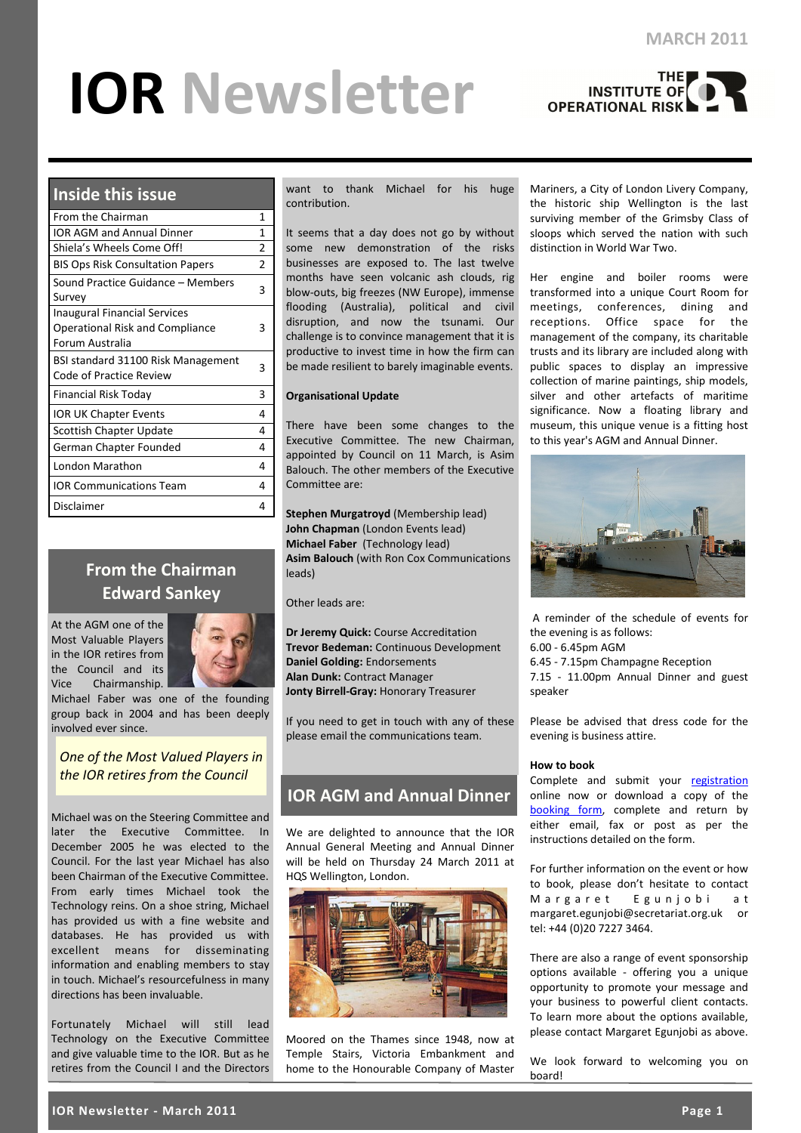# **IOR Newsletter Derarrichal RISE**



## **Inside this issue**

| From the Chairman                       | 1             |
|-----------------------------------------|---------------|
| <b>IOR AGM and Annual Dinner</b>        | 1             |
| Shiela's Wheels Come Off!               | 2             |
| <b>BIS Ops Risk Consultation Papers</b> | $\mathcal{P}$ |
| Sound Practice Guidance - Members       | 3             |
| Survey                                  |               |
| <b>Inaugural Financial Services</b>     |               |
| <b>Operational Risk and Compliance</b>  | 3             |
| Forum Australia                         |               |
| BSI standard 31100 Risk Management      | 3             |
| Code of Practice Review                 |               |
| Financial Risk Today                    | 3             |
| <b>IOR UK Chapter Events</b>            | 4             |
| <b>Scottish Chapter Update</b>          | 4             |
| German Chapter Founded                  | 4             |
| London Marathon                         | 4             |
| <b>IOR Communications Team</b>          | 4             |
| Disclaimer                              | 4             |

# **From the Chairman Edward Sankey**

At the AGM one of the Most Valuable Players in the IOR retires from the Council and its Vice Chairmanship.



Michael Faber was one of the founding group back in 2004 and has been deeply involved ever since.

*One of the Most Valued Players in the IOR retires from the Council*

Michael was on the Steering Committee and later the Executive Committee. In December 2005 he was elected to the Council. For the last year Michael has also been Chairman of the Executive Committee. From early times Michael took the Technology reins. On a shoe string, Michael has provided us with a fine website and databases. He has provided us with excellent means for disseminating information and enabling members to stay in touch. Michael's resourcefulness in many directions has been invaluable.

Fortunately Michael will still lead Technology on the Executive Committee and give valuable time to the IOR. But as he retires from the Council I and the Directors

want to thank Michael for his huge contribution.

It seems that a day does not go by without some new demonstration of the risks businesses are exposed to. The last twelve months have seen volcanic ash clouds, rig blow-outs, big freezes (NW Europe), immense flooding (Australia), political and civil disruption, and now the tsunami. Our challenge is to convince management that it is productive to invest time in how the firm can be made resilient to barely imaginable events.

#### **Organisational Update**

There have been some changes to the Executive Committee. The new Chairman, appointed by Council on 11 March, is Asim Balouch. The other members of the Executive Committee are:

**Stephen Murgatroyd** (Membership lead) **John Chapman** (London Events lead) **Michael Faber** (Technology lead) **Asim Balouch** (with Ron Cox Communications leads)

Other leads are:

**Dr Jeremy Quick:** Course Accreditation **Trevor Bedeman:** Continuous Development **Daniel Golding:** Endorsements **Alan Dunk:** Contract Manager **Jonty Birrell-Gray:** Honorary Treasurer

If you need to get in touch with any of these please email the communications team.

# **IOR AGM and Annual Dinner**

We are delighted to announce that the IOR Annual General Meeting and Annual Dinner will be held on Thursday 24 March 2011 at HQS Wellington, London.



Moored on the Thames since 1948, now at Temple Stairs, Victoria Embankment and home to the Honourable Company of Master Mariners, a City of London Livery Company, the historic ship Wellington is the last surviving member of the Grimsby Class of sloops which served the nation with such distinction in World War Two.

Her engine and boiler rooms were transformed into a unique Court Room for meetings, conferences, dining and receptions. Office space for the management of the company, its charitable trusts and its library are included along with public spaces to display an impressive collection of marine paintings, ship models, silver and other artefacts of maritime significance. Now a floating library and museum, this unique venue is a fitting host to this year's AGM and Annual Dinner.



A reminder of the schedule of events for the evening is as follows: 6.00 - 6.45pm AGM 6.45 - 7.15pm Champagne Reception 7.15 - 11.00pm Annual Dinner and guest speaker

Please be advised that dress code for the evening is business attire.

#### **How to book**

Complete and submit your [registration](http://ava.netxtra.net/clientfiles/ior/bookings/110324.aspC:/Users/User%201/Documents/acf2) online now or download a copy of the [booking form,](http://ava.netxtra.net/clientfiles/ior/bookings/110324.aspC:/Users/User%201/Documents/acf2) complete and return by either email, fax or post as per the instructions detailed on the form.

For further information on the event or how to book, please don't hesitate to contact Margaret Egunjobi at margaret.egunjobi@secretariat.org.uk or tel: +44 (0)20 7227 3464.

There are also a range of event sponsorship options available - offering you a unique opportunity to promote your message and your business to powerful client contacts. To learn more about the options available, please contact Margaret Egunjobi as above.

We look forward to welcoming you on board!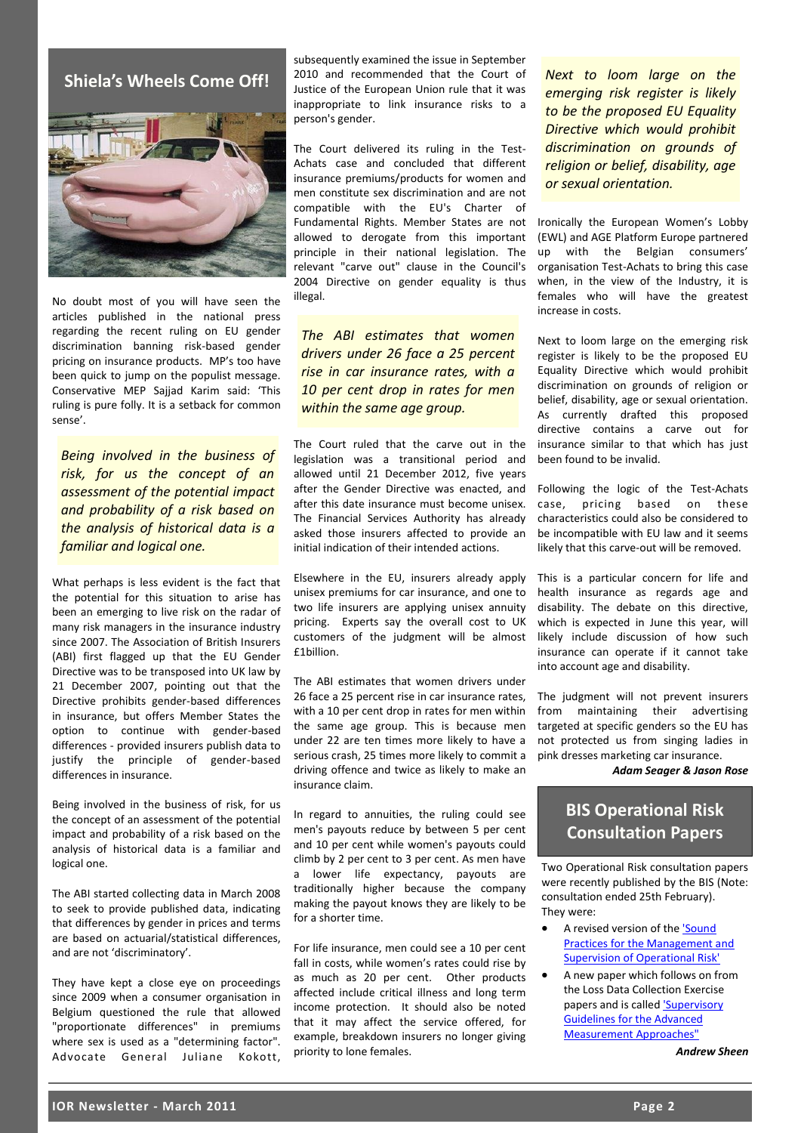## **Shiela's Wheels Come Off!**



No doubt most of you will have seen the articles published in the national press regarding the recent ruling on EU gender discrimination banning risk-based gender pricing on insurance products. MP's too have been quick to jump on the populist message. Conservative MEP Sajjad Karim said: 'This ruling is pure folly. It is a setback for common sense'.

*Being involved in the business of risk, for us the concept of an assessment of the potential impact and probability of a risk based on the analysis of historical data is a familiar and logical one.*

What perhaps is less evident is the fact that the potential for this situation to arise has been an emerging to live risk on the radar of many risk managers in the insurance industry since 2007. The Association of British Insurers (ABI) first flagged up that the EU Gender Directive was to be transposed into UK law by 21 December 2007, pointing out that the Directive prohibits gender-based differences in insurance, but offers Member States the option to continue with gender-based differences - provided insurers publish data to justify the principle of gender-based differences in insurance.

Being involved in the business of risk, for us the concept of an assessment of the potential impact and probability of a risk based on the analysis of historical data is a familiar and logical one.

The ABI started collecting data in March 2008 to seek to provide published data, indicating that differences by gender in prices and terms are based on actuarial/statistical differences, and are not 'discriminatory'.

They have kept a close eye on proceedings since 2009 when a consumer organisation in Belgium questioned the rule that allowed "proportionate differences" in premiums where sex is used as a "determining factor". Advocate General Juliane Kokott,

subsequently examined the issue in September 2010 and recommended that the Court of Justice of the European Union rule that it was inappropriate to link insurance risks to a person's gender.

The Court delivered its ruling in the Test-Achats case and concluded that different insurance premiums/products for women and men constitute sex discrimination and are not compatible with the EU's Charter of Fundamental Rights. Member States are not allowed to derogate from this important principle in their national legislation. The relevant "carve out" clause in the Council's 2004 Directive on gender equality is thus illegal.

*The ABI estimates that women drivers under 26 face a 25 percent rise in car insurance rates, with a 10 per cent drop in rates for men within the same age group.*

The Court ruled that the carve out in the legislation was a transitional period and allowed until 21 December 2012, five years after the Gender Directive was enacted, and after this date insurance must become unisex. The Financial Services Authority has already asked those insurers affected to provide an initial indication of their intended actions.

Elsewhere in the EU, insurers already apply unisex premiums for car insurance, and one to two life insurers are applying unisex annuity pricing. Experts say the overall cost to UK customers of the judgment will be almost £1billion.

The ABI estimates that women drivers under 26 face a 25 percent rise in car insurance rates, with a 10 per cent drop in rates for men within the same age group. This is because men under 22 are ten times more likely to have a serious crash, 25 times more likely to commit a driving offence and twice as likely to make an insurance claim.

In regard to annuities, the ruling could see men's payouts reduce by between 5 per cent and 10 per cent while women's payouts could climb by 2 per cent to 3 per cent. As men have a lower life expectancy, payouts are traditionally higher because the company making the payout knows they are likely to be for a shorter time.

For life insurance, men could see a 10 per cent fall in costs, while women's rates could rise by as much as 20 per cent. Other products affected include critical illness and long term income protection. It should also be noted that it may affect the service offered, for example, breakdown insurers no longer giving priority to lone females.

*Next to loom large on the emerging risk register is likely to be the proposed EU Equality Directive which would prohibit discrimination on grounds of religion or belief, disability, age or sexual orientation.*

Ironically the European Women's Lobby (EWL) and AGE Platform Europe partnered up with the Belgian consumers' organisation Test-Achats to bring this case when, in the view of the Industry, it is females who will have the greatest increase in costs.

Next to loom large on the emerging risk register is likely to be the proposed EU Equality Directive which would prohibit discrimination on grounds of religion or belief, disability, age or sexual orientation. As currently drafted this proposed directive contains a carve out for insurance similar to that which has just been found to be invalid.

Following the logic of the Test-Achats case, pricing based on these characteristics could also be considered to be incompatible with EU law and it seems likely that this carve-out will be removed.

This is a particular concern for life and health insurance as regards age and disability. The debate on this directive, which is expected in June this year, will likely include discussion of how such insurance can operate if it cannot take into account age and disability.

The judgment will not prevent insurers from maintaining their advertising targeted at specific genders so the EU has not protected us from singing ladies in pink dresses marketing car insurance.

*Adam Seager & Jason Rose*

# **BIS Operational Risk Consultation Papers**

Two Operational Risk consultation papers were recently published by the BIS (Note: consultation ended 25th February). They were:

- A revised version of the 'Sound [Practices for the Management and](http://www.bis.org/publ/bcbs183.htm)  [Supervision of Operational Risk'](http://www.bis.org/publ/bcbs183.htm)
- A new paper which follows on from the Loss Data Collection Exercise papers and is called ['Supervisory](http://www.bis.org/publ/bcbs184.htm)  [Guidelines for the Advanced](http://www.bis.org/publ/bcbs184.htm)  [Measurement Approaches"](http://www.bis.org/publ/bcbs184.htm)

*Andrew Sheen*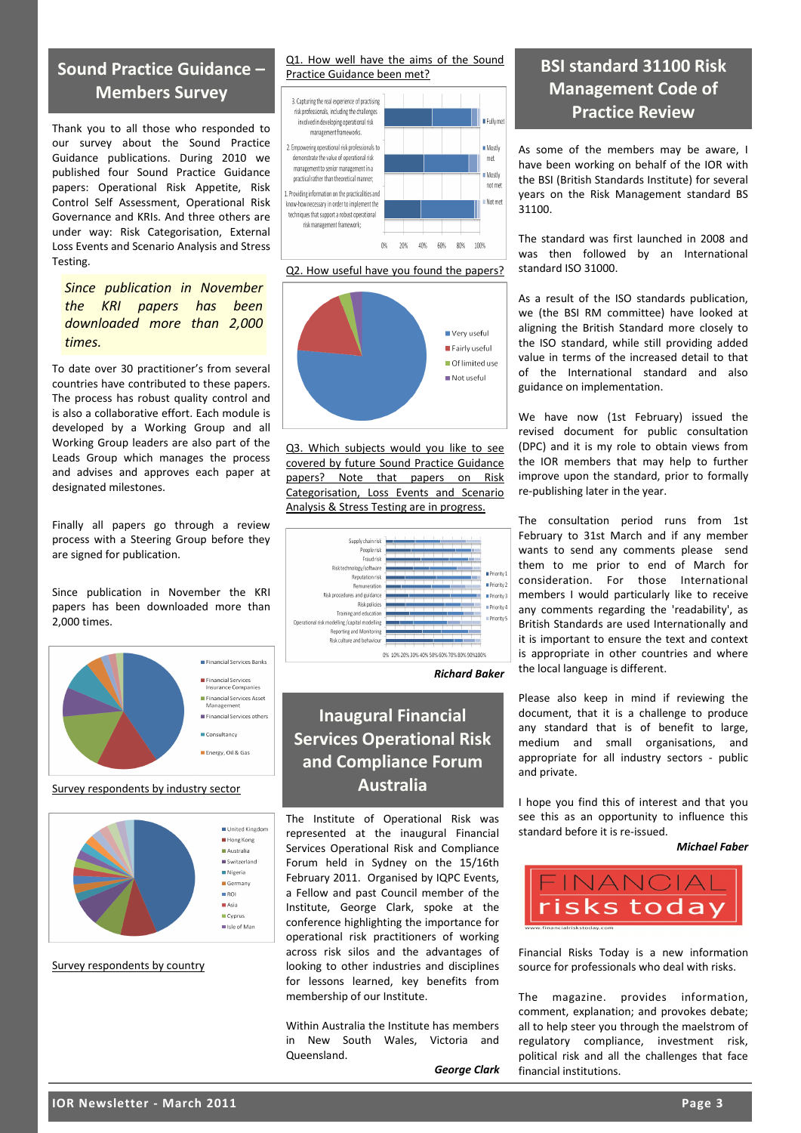# **Sound Practice Guidance – Members Survey**

Thank you to all those who responded to our survey about the Sound Practice Guidance publications. During 2010 we published four Sound Practice Guidance papers: Operational Risk Appetite, Risk Control Self Assessment, Operational Risk Governance and KRIs. And three others are under way: Risk Categorisation, External Loss Events and Scenario Analysis and Stress Testing.

*Since publication in November the KRI papers has been downloaded more than 2,000 times.*

To date over 30 practitioner's from several countries have contributed to these papers. The process has robust quality control and is also a collaborative effort. Each module is developed by a Working Group and all Working Group leaders are also part of the Leads Group which manages the process and advises and approves each paper at designated milestones.

Finally all papers go through a review process with a Steering Group before they are signed for publication.

Since publication in November the KRI papers has been downloaded more than 2,000 times.



#### Survey respondents by industry sector





#### Q1. How well have the aims of the Sound Practice Guidance been met?



Q2. How useful have you found the papers?



Q3. Which subjects would you like to see covered by future Sound Practice Guidance papers? Note that papers on Risk Categorisation, Loss Events and Scenario Analysis & Stress Testing are in progress.



*Richard Baker*

# **Inaugural Financial Services Operational Risk and Compliance Forum Australia**

The Institute of Operational Risk was represented at the inaugural Financial Services Operational Risk and Compliance Forum held in Sydney on the 15/16th February 2011. Organised by IQPC Events, a Fellow and past Council member of the Institute, George Clark, spoke at the conference highlighting the importance for operational risk practitioners of working across risk silos and the advantages of looking to other industries and disciplines for lessons learned, key benefits from membership of our Institute.

Within Australia the Institute has members in New South Wales, Victoria and Queensland.

*George Clark*

# **BSI standard 31100 Risk Management Code of Practice Review**

As some of the members may be aware, I have been working on behalf of the IOR with the BSI (British Standards Institute) for several years on the Risk Management standard BS 31100.

The standard was first launched in 2008 and was then followed by an International standard ISO 31000.

As a result of the ISO standards publication, we (the BSI RM committee) have looked at aligning the British Standard more closely to the ISO standard, while still providing added value in terms of the increased detail to that of the International standard and also guidance on implementation.

We have now (1st February) issued the revised document for public consultation (DPC) and it is my role to obtain views from the IOR members that may help to further improve upon the standard, prior to formally re-publishing later in the year.

The consultation period runs from 1st February to 31st March and if any member wants to send any comments please send them to me prior to end of March for consideration. For those International members I would particularly like to receive any comments regarding the 'readability', as British Standards are used Internationally and it is important to ensure the text and context is appropriate in other countries and where the local language is different.

Please also keep in mind if reviewing the document, that it is a challenge to produce any standard that is of benefit to large, medium and small organisations, and appropriate for all industry sectors - public and private.

I hope you find this of interest and that you see this as an opportunity to influence this standard before it is re-issued.

#### *Michael Faber*



Financial Risks Today is a new information source for professionals who deal with risks.

The magazine. provides information, comment, explanation; and provokes debate; all to help steer you through the maelstrom of regulatory compliance, investment risk, political risk and all the challenges that face financial institutions.